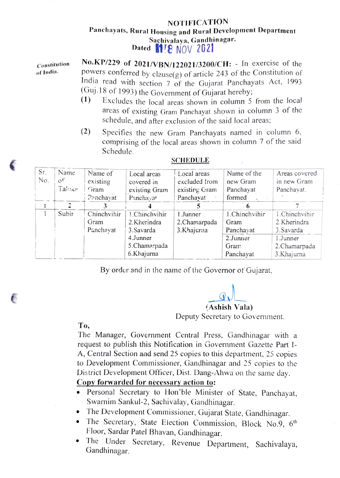## NOTIFICATION Panchayats, Rural Housing and Rural Development Department Sachivalaya, Gandhinagar. Dated **1E NOV 2021**

No.KP/229 of 2021/VBN/122021/3200/CH: - In exercise of the powers conferred by clause $(g)$  of article 243 of the Constitution of India read with section 7 of the Gujarat Panchayats Act, 1993<br>(Guj.18 of 1993) the Government of Gujarat hereby;  $(1)$  Excludes the local areas shown in column 5 from the local Constitution of India.

- areas of existing Gram Panchayat shown in column 3 of the schedule, and after exclusion of the said local areas;
- (2) Specifies the new Gram Panchayats named in column 6, comprising of the local areas shown in column 7 of the said Schedule.

| Sr. | Name   | Name of     | Local areas   | Local areas   | Name of the   | Areas covered  |
|-----|--------|-------------|---------------|---------------|---------------|----------------|
| No. | of     | existing    | covered in    | excluded from | new Gram      | in new Gram    |
|     | Takika | Gram        | existing Gram | existing Gram | Panchayat     | Panchayat.     |
|     |        | Panchayat   | Panchayat     | Panchayat     | formed        |                |
|     |        |             |               |               |               |                |
|     | Subir  | Chinchvihir | 1.Chinchvihir | 1.Junner      | 1.Chinchvihir | 1. Chinchvihir |
|     |        | Gram        | 2.Kherindra   | 2.Chamarpada  | Gram          | 2.Kherindra    |
|     |        | Panchavat   | 3. Savarda    | 3.Khajurna    | Panchayat     | 3. Savarda     |
|     |        |             | 4.Junner      |               | 2.Junner      | 1.Junner       |
|     |        |             | 5.Chamarpada  |               | Gram          | 2.Chamarpada   |
|     |        |             | 6.Khajurna    |               | Panchayat     | 3.Khajurna     |

## SCHEDULE

By order and in the name of the Governor of Gujarat,

Ashish Vala)

Deputy Secretary to Government.

To,

The Manager, Government Central Press, Gandhinagar with a request to publish this Notification in Government Gazette Part I-A, Central Section and send 25 copies to this department, 25 copies to Development Commissioner, Gandhinagar and 25 copies to the District Development Oflicer, Dist. Dang-Ahwa on the same day.

## Copy forwarded for necessary action to:

- Personal Secretary to Hon'ble Minister of State, Panchayat, Swarnim Sankul-2, Sachivalay, Gandhinagar.
- 
- The Development Commissioner, Gujarat State, Gandhinagar.<br>• The Secretary, State Election Commission, Block No.9, 6<sup>th</sup>
- Floor, Sardar Patel Bhavan, Gandhinagar.<br>
The Under Secretary, Revenue Department, Sachivalaya, Gandhinagar.